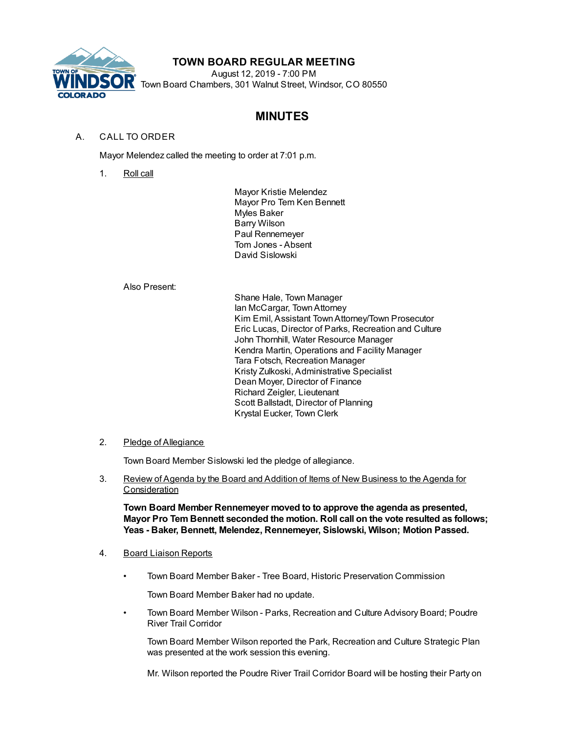

# **TOWN BOARD REGULAR MEETING**

August 12, 2019 - 7:00 PM Town Board Chambers, 301 Walnut Street, Windsor, CO 80550

# **MINUTES**

# A. CALL TO ORDER

Mayor Melendez called the meeting to order at 7:01 p.m.

1. Roll call

Mayor Kristie Melendez Mayor Pro Tem Ken Bennett Myles Baker Barry Wilson Paul Rennemeyer Tom Jones - Absent David Sislowski

## Also Present:

Shane Hale, Town Manager Ian McCargar, TownAttorney Kim Emil, Assistant TownAttorney/Town Prosecutor Eric Lucas, Director of Parks, Recreation and Culture John Thornhill, Water Resource Manager Kendra Martin, Operations and Facility Manager Tara Fotsch, Recreation Manager Kristy Zulkoski, Administrative Specialist Dean Moyer, Director of Finance Richard Zeigler, Lieutenant Scott Ballstadt, Director of Planning Krystal Eucker, Town Clerk

## 2. Pledge of Allegiance

Town Board Member Sislowski led the pledge of allegiance.

3. Review of Agenda by the Board and Addition of Items of New Business to the Agenda for **Consideration** 

**Town Board Member Rennemeyer moved to to approve the agenda as presented, Mayor Pro Tem Bennett seconded the motion. Roll call on the vote resulted as follows; Yeas - Baker, Bennett, Melendez, Rennemeyer, Sislowski, Wilson; Motion Passed.**

- 4. Board Liaison Reports
	- Town Board Member Baker Tree Board, Historic Preservation Commission

Town Board Member Baker had no update.

• Town Board Member Wilson - Parks, Recreation and Culture Advisory Board; Poudre River Trail Corridor

Town Board Member Wilson reported the Park, Recreation and Culture Strategic Plan was presented at the work session this evening.

Mr. Wilson reported the Poudre River Trail Corridor Board will be hosting their Party on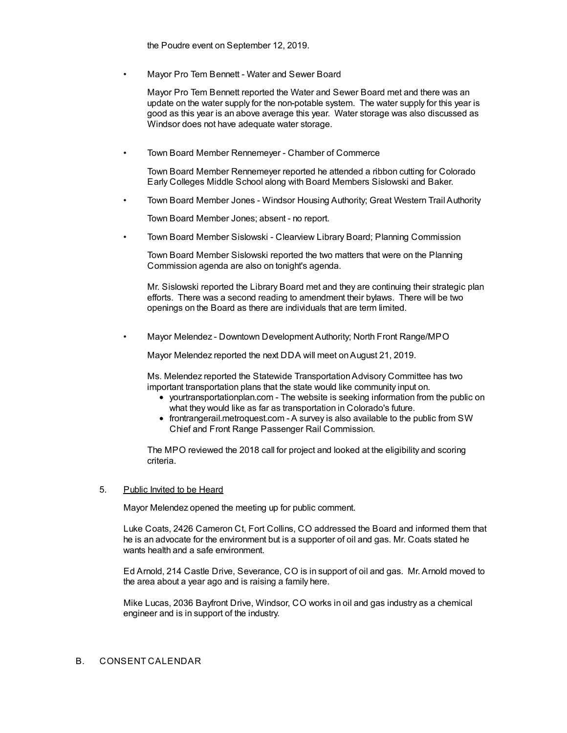the Poudre event on September 12, 2019.

• Mayor Pro Tem Bennett - Water and Sewer Board

Mayor Pro Tem Bennett reported the Water and Sewer Board met and there was an update on the water supply for the non-potable system. The water supply for this year is good as this year is an above average this year. Water storage was also discussed as Windsor does not have adequate water storage.

• Town Board Member Rennemeyer - Chamber of Commerce

Town Board Member Rennemeyer reported he attended a ribbon cutting for Colorado Early Colleges Middle School along with Board Members Sislowski and Baker.

• Town Board Member Jones - Windsor Housing Authority; Great Western Trail Authority

Town Board Member Jones; absent - no report.

• Town Board Member Sislowski - Clearview Library Board; Planning Commission

Town Board Member Sislowski reported the two matters that were on the Planning Commission agenda are also on tonight's agenda.

Mr. Sislowski reported the Library Board met and they are continuing their strategic plan efforts. There was a second reading to amendment their bylaws. There will be two openings on the Board as there are individuals that are term limited.

• Mayor Melendez - Downtown Development Authority; North Front Range/MPO

Mayor Melendez reported the next DDA will meet onAugust 21, 2019.

Ms. Melendez reported the Statewide Transportation Advisory Committee has two important transportation plans that the state would like community input on.

- yourtransportationplan.com The website is seeking information from the public on what they would like as far as transportation in Colorado's future.
- frontrangerail.metroquest.com A survey is also available to the public from SW Chief and Front Range Passenger Rail Commission.

The MPO reviewed the 2018 call for project and looked at the eligibility and scoring criteria.

#### 5. Public Invited to be Heard

Mayor Melendez opened the meeting up for public comment.

Luke Coats, 2426 Cameron Ct, Fort Collins, CO addressed the Board and informed them that he is an advocate for the environment but is a supporter of oil and gas. Mr. Coats stated he wants health and a safe environment.

Ed Arnold, 214 Castle Drive, Severance, CO is in support of oil and gas. Mr. Arnold moved to the area about a year ago and is raising a family here.

Mike Lucas, 2036 Bayfront Drive, Windsor, CO works in oil and gas industry as a chemical engineer and is in support of the industry.

#### B. CONSENT CALENDAR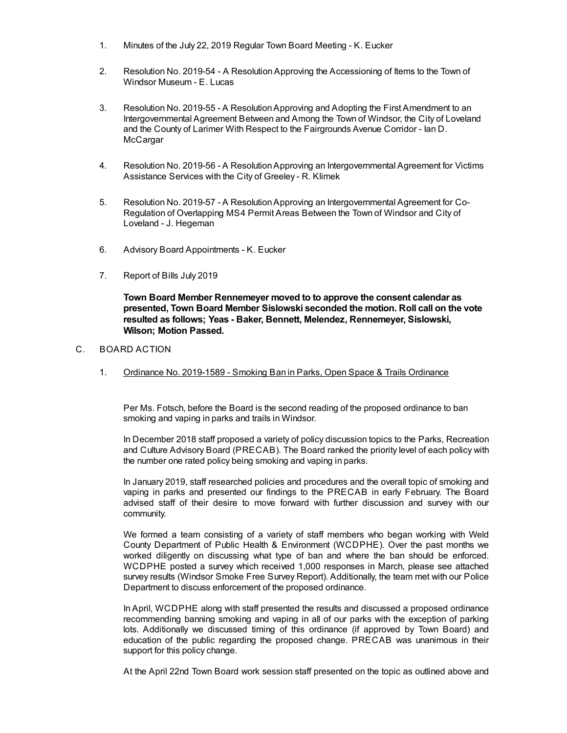- 1. Minutes of the July 22, 2019 Regular Town Board Meeting K. Eucker
- 2. Resolution No. 2019-54 A ResolutionApproving the Accessioning of Items to the Town of Windsor Museum - E. Lucas
- 3. Resolution No. 2019-55 A ResolutionApproving and Adopting the First Amendment to an Intergovernmental Agreement Between and Among the Town of Windsor, the City of Loveland and the County of Larimer With Respect to the Fairgrounds Avenue Corridor - Ian D. McCargar
- 4. Resolution No. 2019-56 A ResolutionApproving an Intergovernmental Agreement for Victims Assistance Services with the City of Greeley - R. Klimek
- 5. Resolution No. 2019-57 A ResolutionApproving an Intergovernmental Agreement for Co-Regulation of Overlapping MS4 Permit Areas Between the Town of Windsor and City of Loveland - J. Hegeman
- 6. Advisory Board Appointments K. Eucker
- 7. Report of Bills July 2019

**Town Board Member Rennemeyer moved to to approve the consent calendar as presented, Town Board Member Sislowski seconded the motion. Roll call on the vote resulted as follows; Yeas - Baker, Bennett, Melendez, Rennemeyer, Sislowski, Wilson; Motion Passed.**

- C. BOARD ACTION
	- 1. Ordinance No. 2019-1589 Smoking Ban in Parks, Open Space & Trails Ordinance

Per Ms. Fotsch, before the Board is the second reading of the proposed ordinance to ban smoking and vaping in parks and trails in Windsor.

In December 2018 staff proposed a variety of policy discussion topics to the Parks, Recreation and Culture Advisory Board (PRECAB). The Board ranked the priority level of each policy with the number one rated policy being smoking and vaping in parks.

In January 2019, staff researched policies and procedures and the overall topic of smoking and vaping in parks and presented our findings to the PRECAB in early February. The Board advised staff of their desire to move forward with further discussion and survey with our community.

We formed a team consisting of a variety of staff members who began working with Weld County Department of Public Health & Environment (WCDPHE). Over the past months we worked diligently on discussing what type of ban and where the ban should be enforced. WCDPHE posted a survey which received 1,000 responses in March, please see attached survey results (Windsor Smoke Free Survey Report). Additionally, the team met with our Police Department to discuss enforcement of the proposed ordinance.

In April, WCDPHE along with staff presented the results and discussed a proposed ordinance recommending banning smoking and vaping in all of our parks with the exception of parking lots. Additionally we discussed timing of this ordinance (if approved by Town Board) and education of the public regarding the proposed change. PRECAB was unanimous in their support for this policy change.

At the April 22nd Town Board work session staff presented on the topic as outlined above and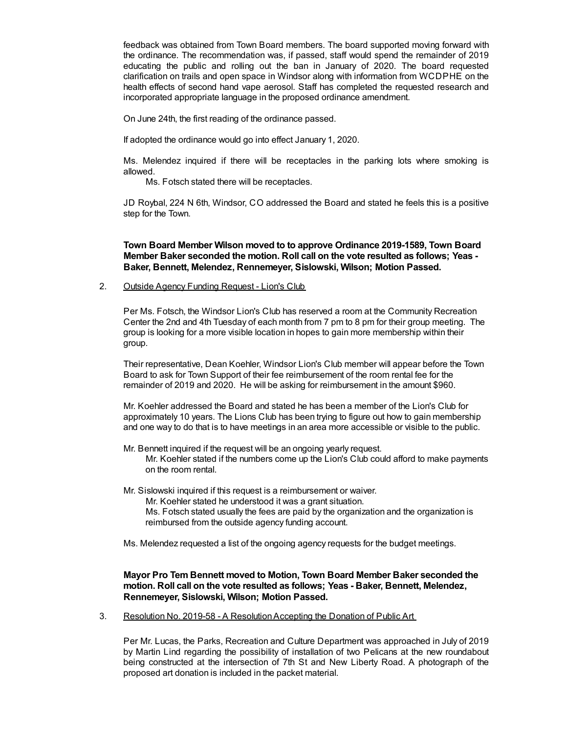feedback was obtained from Town Board members. The board supported moving forward with the ordinance. The recommendation was, if passed, staff would spend the remainder of 2019 educating the public and rolling out the ban in January of 2020. The board requested clarification on trails and open space in Windsor along with information from WCDPHE on the health effects of second hand vape aerosol. Staff has completed the requested research and incorporated appropriate language in the proposed ordinance amendment.

On June 24th, the first reading of the ordinance passed.

If adopted the ordinance would go into effect January 1, 2020.

Ms. Melendez inquired if there will be receptacles in the parking lots where smoking is allowed.

Ms. Fotsch stated there will be receptacles.

JD Roybal, 224 N 6th, Windsor, CO addressed the Board and stated he feels this is a positive step for the Town.

**Town Board Member Wilson moved to to approve Ordinance 2019-1589, Town Board Member Baker seconded the motion. Roll call on the vote resulted as follows; Yeas - Baker, Bennett, Melendez, Rennemeyer, Sislowski, Wilson; Motion Passed.**

2. Outside Agency Funding Request - Lion's Club

Per Ms. Fotsch, the Windsor Lion's Club has reserved a room at the Community Recreation Center the 2nd and 4th Tuesday of each month from 7 pm to 8 pm for their group meeting. The group is looking for a more visible location in hopes to gain more membership within their group.

Their representative, Dean Koehler, Windsor Lion's Club member will appear before the Town Board to ask for Town Support of their fee reimbursement of the room rental fee for the remainder of 2019 and 2020. He will be asking for reimbursement in the amount \$960.

Mr. Koehler addressed the Board and stated he has been a member of the Lion's Club for approximately 10 years. The Lions Club has been trying to figure out how to gain membership and one way to do that is to have meetings in an area more accessible or visible to the public.

Mr. Bennett inquired if the request will be an ongoing yearly request. Mr. Koehler stated if the numbers come up the Lion's Club could afford to make payments on the room rental.

Mr. Sislowski inquired if this request is a reimbursement or waiver.

Mr. Koehler stated he understood it was a grant situation.

Ms. Fotsch stated usually the fees are paid by the organization and the organization is reimbursed from the outside agency funding account.

Ms. Melendez requested a list of the ongoing agency requests for the budget meetings.

## **Mayor Pro Tem Bennett moved to Motion, Town Board Member Baker seconded the motion. Roll call on the vote resulted as follows; Yeas - Baker, Bennett, Melendez, Rennemeyer, Sislowski, Wilson; Motion Passed.**

3. Resolution No. 2019-58 - A ResolutionAccepting the Donation of Public Art

Per Mr. Lucas, the Parks, Recreation and Culture Department was approached in July of 2019 by Martin Lind regarding the possibility of installation of two Pelicans at the new roundabout being constructed at the intersection of 7th St and New Liberty Road. A photograph of the proposed art donation is included in the packet material.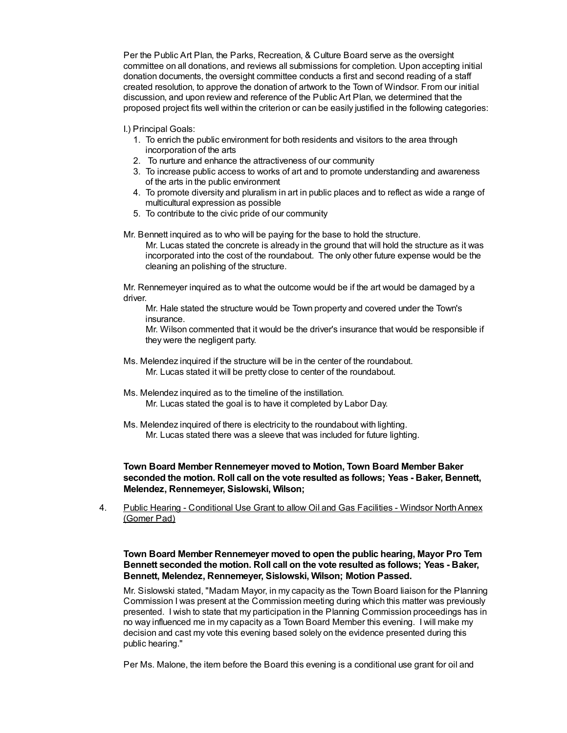Per the Public Art Plan, the Parks, Recreation, & Culture Board serve as the oversight committee on all donations, and reviews all submissions for completion. Upon accepting initial donation documents, the oversight committee conducts a first and second reading of a staff created resolution, to approve the donation of artwork to the Town of Windsor. From our initial discussion, and upon review and reference of the Public Art Plan, we determined that the proposed project fits well within the criterion or can be easily justified in the following categories:

I.) Principal Goals:

- 1. To enrich the public environment for both residents and visitors to the area through incorporation of the arts
- 2. To nurture and enhance the attractiveness of our community
- 3. To increase public access to works of art and to promote understanding and awareness of the arts in the public environment
- 4. To promote diversity and pluralism in art in public places and to reflect as wide a range of multicultural expression as possible
- 5. To contribute to the civic pride of our community

Mr. Bennett inquired as to who will be paying for the base to hold the structure.

Mr. Lucas stated the concrete is already in the ground that will hold the structure as it was incorporated into the cost of the roundabout. The only other future expense would be the cleaning an polishing of the structure.

Mr. Rennemeyer inquired as to what the outcome would be if the art would be damaged by a driver.

Mr. Hale stated the structure would be Town property and covered under the Town's insurance.

Mr. Wilson commented that it would be the driver's insurance that would be responsible if they were the negligent party.

- Ms. Melendez inquired if the structure will be in the center of the roundabout. Mr. Lucas stated it will be pretty close to center of the roundabout.
- Ms. Melendez inquired as to the timeline of the instillation. Mr. Lucas stated the goal is to have it completed by Labor Day.
- Ms. Melendez inquired of there is electricity to the roundabout with lighting. Mr. Lucas stated there was a sleeve that was included for future lighting.

**Town Board Member Rennemeyer moved to Motion, Town Board Member Baker seconded the motion. Roll call on the vote resulted as follows; Yeas - Baker, Bennett, Melendez, Rennemeyer, Sislowski, Wilson;**

4. Public Hearing - Conditional Use Grant to allow Oil and Gas Facilities - Windsor NorthAnnex (Gomer Pad)

**Town Board Member Rennemeyer moved to open the public hearing, Mayor Pro Tem Bennett seconded the motion. Roll call on the vote resulted as follows; Yeas - Baker, Bennett, Melendez, Rennemeyer, Sislowski, Wilson; Motion Passed.**

Mr. Sislowski stated, "Madam Mayor, in my capacity as the Town Board liaison for the Planning Commission I was present at the Commission meeting during which this matter was previously presented. I wish to state that my participation in the Planning Commission proceedings has in no way influenced me in my capacity as a Town Board Member this evening. I will make my decision and cast my vote this evening based solely on the evidence presented during this public hearing."

Per Ms. Malone, the item before the Board this evening is a conditional use grant for oil and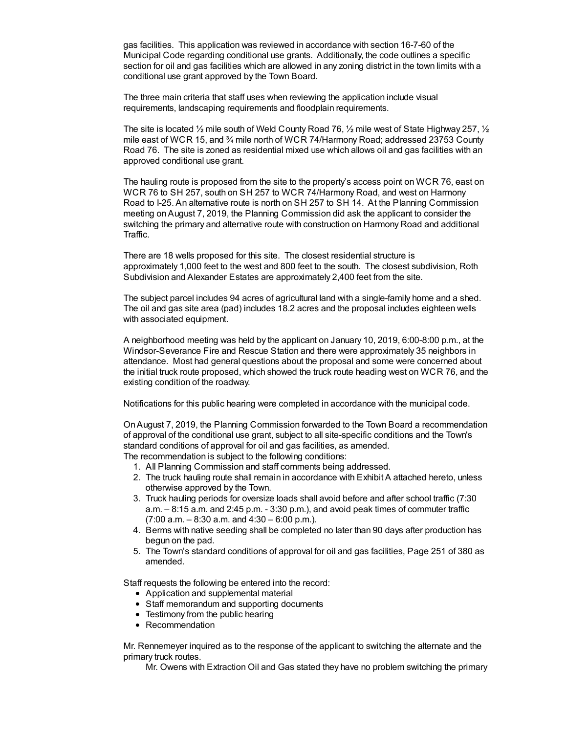gas facilities. This application was reviewed in accordance with section 16-7-60 of the Municipal Code regarding conditional use grants. Additionally, the code outlines a specific section for oil and gas facilities which are allowed in any zoning district in the town limits with a conditional use grant approved by the Town Board.

The three main criteria that staff uses when reviewing the application include visual requirements, landscaping requirements and floodplain requirements.

The site is located  $\frac{1}{2}$  mile south of Weld County Road 76,  $\frac{1}{2}$  mile west of State Highway 257,  $\frac{1}{2}$ mile east of WCR 15, and ¾ mile north of WCR 74/Harmony Road; addressed 23753 County Road 76. The site is zoned as residential mixed use which allows oil and gas facilities with an approved conditional use grant.

The hauling route is proposed from the site to the property's access point on WCR 76, east on WCR 76 to SH 257, south on SH 257 to WCR 74/Harmony Road, and west on Harmony Road to I-25. An alternative route is north on SH 257 to SH 14. At the Planning Commission meeting onAugust 7, 2019, the Planning Commission did ask the applicant to consider the switching the primary and alternative route with construction on Harmony Road and additional Traffic.

There are 18 wells proposed for this site. The closest residential structure is approximately 1,000 feet to the west and 800 feet to the south. The closest subdivision, Roth Subdivision and Alexander Estates are approximately 2,400 feet from the site.

The subject parcel includes 94 acres of agricultural land with a single-family home and a shed. The oil and gas site area (pad) includes 18.2 acres and the proposal includes eighteen wells with associated equipment.

A neighborhood meeting was held by the applicant on January 10, 2019, 6:00-8:00 p.m., at the Windsor-Severance Fire and Rescue Station and there were approximately 35 neighbors in attendance. Most had general questions about the proposal and some were concerned about the initial truck route proposed, which showed the truck route heading west on WCR 76, and the existing condition of the roadway.

Notifications for this public hearing were completed in accordance with the municipal code.

OnAugust 7, 2019, the Planning Commission forwarded to the Town Board a recommendation of approval of the conditional use grant, subject to all site-specific conditions and the Town's standard conditions of approval for oil and gas facilities, as amended. The recommendation is subject to the following conditions:

1. All Planning Commission and staff comments being addressed.

- 2. The truck hauling route shall remain in accordance with Exhibit A attached hereto, unless otherwise approved by the Town.
- 3. Truck hauling periods for oversize loads shall avoid before and after school traffic (7:30 a.m. – 8:15 a.m. and 2:45 p.m. - 3:30 p.m.), and avoid peak times of commuter traffic  $(7:00$  a.m.  $-8:30$  a.m. and  $4:30 - 6:00$  p.m.).
- 4. Berms with native seeding shall be completed no later than 90 days after production has begun on the pad.
- 5. The Town's standard conditions of approval for oil and gas facilities, Page 251 of 380 as amended.

Staff requests the following be entered into the record:

- Application and supplemental material
- Staff memorandum and supporting documents
- Testimony from the public hearing
- Recommendation

Mr. Rennemeyer inquired as to the response of the applicant to switching the alternate and the primary truck routes.

Mr. Owens with Extraction Oil and Gas stated they have no problem switching the primary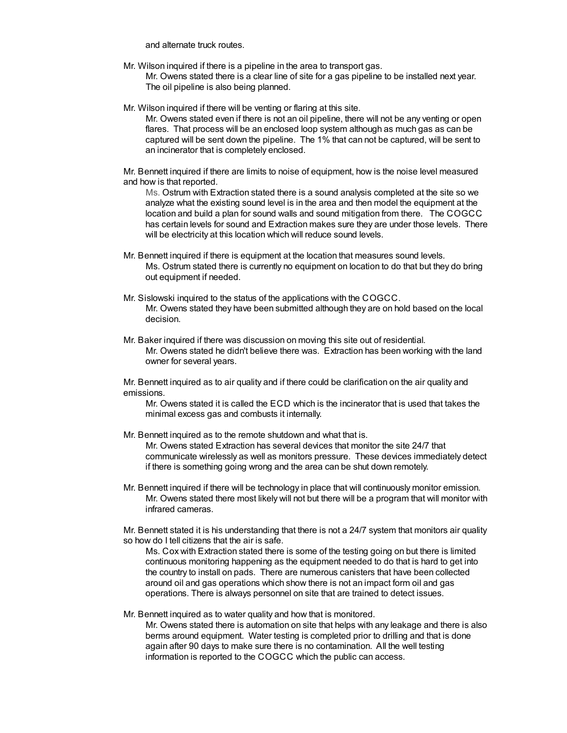and alternate truck routes.

Mr. Wilson inquired if there is a pipeline in the area to transport gas.

Mr. Owens stated there is a clear line of site for a gas pipeline to be installed next year. The oil pipeline is also being planned.

Mr. Wilson inquired if there will be venting or flaring at this site.

Mr. Owens stated even if there is not an oil pipeline, there will not be any venting or open flares. That process will be an enclosed loop system although as much gas as can be captured will be sent down the pipeline. The 1% that can not be captured, will be sent to an incinerator that is completely enclosed.

Mr. Bennett inquired if there are limits to noise of equipment, how is the noise level measured and how is that reported.

Ms. Ostrum with Extraction stated there is a sound analysis completed at the site so we analyze what the existing sound level is in the area and then model the equipment at the location and build a plan for sound walls and sound mitigation from there. The COGCC has certain levels for sound and Extraction makes sure they are under those levels. There will be electricity at this location which will reduce sound levels.

- Mr. Bennett inquired if there is equipment at the location that measures sound levels. Ms. Ostrum stated there is currently no equipment on location to do that but they do bring out equipment if needed.
- Mr. Sislowski inquired to the status of the applications with the COGCC. Mr. Owens stated they have been submitted although they are on hold based on the local decision.
- Mr. Baker inquired if there was discussion on moving this site out of residential. Mr. Owens stated he didn't believe there was. Extraction has been working with the land owner for several years.

Mr. Bennett inquired as to air quality and if there could be clarification on the air quality and emissions.

Mr. Owens stated it is called the ECD which is the incinerator that is used that takes the minimal excess gas and combusts it internally.

Mr. Bennett inquired as to the remote shutdown and what that is.

Mr. Owens stated Extraction has several devices that monitor the site 24/7 that communicate wirelessly as well as monitors pressure. These devices immediately detect if there is something going wrong and the area can be shut down remotely.

Mr. Bennett inquired if there will be technology in place that will continuously monitor emission. Mr. Owens stated there most likely will not but there will be a program that will monitor with infrared cameras.

Mr. Bennett stated it is his understanding that there is not a 24/7 system that monitors air quality so how do I tell citizens that the air is safe.

Ms. Cox with Extraction stated there is some of the testing going on but there is limited continuous monitoring happening as the equipment needed to do that is hard to get into the country to install on pads. There are numerous canisters that have been collected around oil and gas operations which show there is not an impact form oil and gas operations. There is always personnel on site that are trained to detect issues.

Mr. Bennett inquired as to water quality and how that is monitored. Mr. Owens stated there is automation on site that helps with any leakage and there is also

berms around equipment. Water testing is completed prior to drilling and that is done again after 90 days to make sure there is no contamination. All the well testing information is reported to the COGCC which the public can access.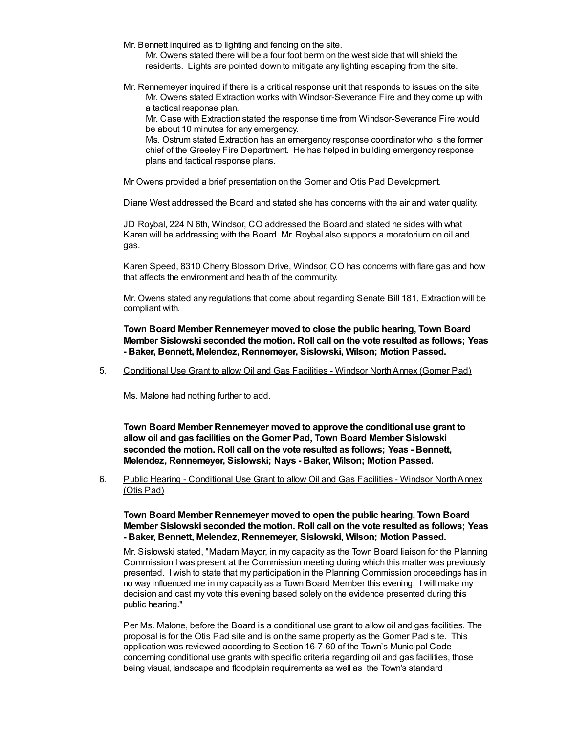- Mr. Bennett inquired as to lighting and fencing on the site.
	- Mr. Owens stated there will be a four foot berm on the west side that will shield the residents. Lights are pointed down to mitigate any lighting escaping from the site.
- Mr. Rennemeyer inquired if there is a critical response unit that responds to issues on the site. Mr. Owens stated Extraction works with Windsor-Severance Fire and they come up with a tactical response plan.

Mr. Case with Extraction stated the response time from Windsor-Severance Fire would be about 10 minutes for any emergency.

Ms. Ostrum stated Extraction has an emergency response coordinator who is the former chief of the Greeley Fire Department. He has helped in building emergency response plans and tactical response plans.

Mr Owens provided a brief presentation on the Gomer and Otis Pad Development.

Diane West addressed the Board and stated she has concerns with the air and water quality.

JD Roybal, 224 N 6th, Windsor, CO addressed the Board and stated he sides with what Karen will be addressing with the Board. Mr. Roybal also supports a moratorium on oil and gas.

Karen Speed, 8310 Cherry Blossom Drive, Windsor, CO has concerns with flare gas and how that affects the environment and health of the community.

Mr. Owens stated any regulations that come about regarding Senate Bill 181, Extraction will be compliant with.

**Town Board Member Rennemeyer moved to close the public hearing, Town Board Member Sislowski seconded the motion. Roll call on the vote resulted as follows; Yeas - Baker, Bennett, Melendez, Rennemeyer, Sislowski, Wilson; Motion Passed.**

5. Conditional Use Grant to allow Oil and Gas Facilities - Windsor NorthAnnex (Gomer Pad)

Ms. Malone had nothing further to add.

**Town Board Member Rennemeyer moved to approve the conditional use grant to allow oil and gas facilities on the Gomer Pad, Town Board Member Sislowski seconded the motion. Roll call on the vote resulted as follows; Yeas - Bennett, Melendez, Rennemeyer, Sislowski; Nays - Baker, Wilson; Motion Passed.**

6. Public Hearing - Conditional Use Grant to allow Oil and Gas Facilities - Windsor NorthAnnex (Otis Pad)

**Town Board Member Rennemeyer moved to open the public hearing, Town Board Member Sislowski seconded the motion. Roll call on the vote resulted as follows; Yeas - Baker, Bennett, Melendez, Rennemeyer, Sislowski, Wilson; Motion Passed.**

Mr. Sislowski stated, "Madam Mayor, in my capacity as the Town Board liaison for the Planning Commission I was present at the Commission meeting during which this matter was previously presented. I wish to state that my participation in the Planning Commission proceedings has in no way influenced me in my capacity as a Town Board Member this evening. I will make my decision and cast my vote this evening based solely on the evidence presented during this public hearing."

Per Ms. Malone, before the Board is a conditional use grant to allow oil and gas facilities. The proposal is for the Otis Pad site and is on the same property as the Gomer Pad site. This application was reviewed according to Section 16-7-60 of the Town's Municipal Code concerning conditional use grants with specific criteria regarding oil and gas facilities, those being visual, landscape and floodplain requirements as well as the Town's standard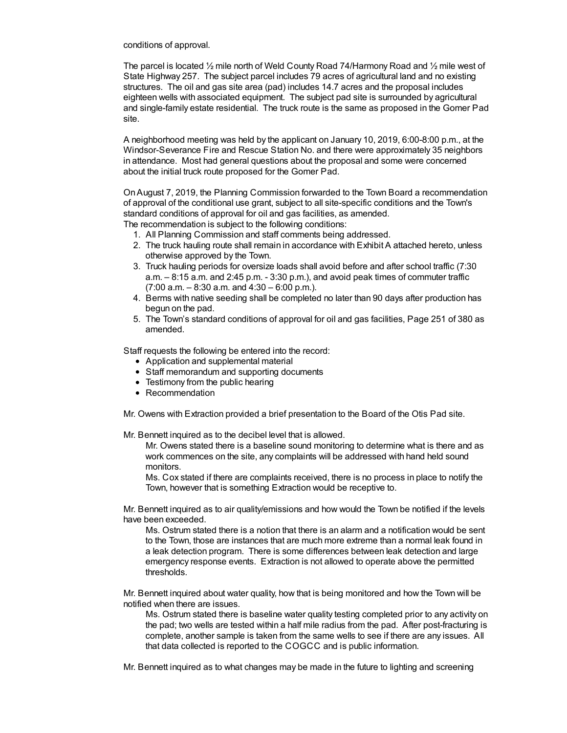conditions of approval.

The parcel is located ½ mile north of Weld County Road 74/Harmony Road and ½ mile west of State Highway 257. The subject parcel includes 79 acres of agricultural land and no existing structures. The oil and gas site area (pad) includes 14.7 acres and the proposal includes eighteen wells with associated equipment. The subject pad site is surrounded by agricultural and single-family estate residential. The truck route is the same as proposed in the Gomer Pad site.

A neighborhood meeting was held by the applicant on January 10, 2019, 6:00-8:00 p.m., at the Windsor-Severance Fire and Rescue Station No. and there were approximately 35 neighbors in attendance. Most had general questions about the proposal and some were concerned about the initial truck route proposed for the Gomer Pad.

OnAugust 7, 2019, the Planning Commission forwarded to the Town Board a recommendation of approval of the conditional use grant, subject to all site-specific conditions and the Town's standard conditions of approval for oil and gas facilities, as amended. The recommendation is subject to the following conditions:

- 1. All Planning Commission and staff comments being addressed.
- 2. The truck hauling route shall remain in accordance with Exhibit A attached hereto, unless otherwise approved by the Town.
- 3. Truck hauling periods for oversize loads shall avoid before and after school traffic (7:30 a.m. – 8:15 a.m. and 2:45 p.m. - 3:30 p.m.), and avoid peak times of commuter traffic  $(7:00 a.m. - 8:30 a.m.$  and  $4:30 - 6:00 p.m.$ ).
- 4. Berms with native seeding shall be completed no later than 90 days after production has begun on the pad.
- 5. The Town's standard conditions of approval for oil and gas facilities, Page 251 of 380 as amended.

Staff requests the following be entered into the record:

- Application and supplemental material
- Staff memorandum and supporting documents
- Testimony from the public hearing
- Recommendation

Mr. Owens with Extraction provided a brief presentation to the Board of the Otis Pad site.

Mr. Bennett inquired as to the decibel level that is allowed.

Mr. Owens stated there is a baseline sound monitoring to determine what is there and as work commences on the site, any complaints will be addressed with hand held sound monitors.

Ms. Cox stated if there are complaints received, there is no process in place to notify the Town, however that is something Extraction would be receptive to.

Mr. Bennett inquired as to air quality/emissions and how would the Town be notified if the levels have been exceeded.

Ms. Ostrum stated there is a notion that there is an alarm and a notification would be sent to the Town, those are instances that are much more extreme than a normal leak found in a leak detection program. There is some differences between leak detection and large emergency response events. Extraction is not allowed to operate above the permitted thresholds.

Mr. Bennett inquired about water quality, how that is being monitored and how the Town will be notified when there are issues.

Ms. Ostrum stated there is baseline water quality testing completed prior to any activity on the pad; two wells are tested within a half mile radius from the pad. After post-fracturing is complete, another sample is taken from the same wells to see if there are any issues. All that data collected is reported to the COGCC and is public information.

Mr. Bennett inquired as to what changes may be made in the future to lighting and screening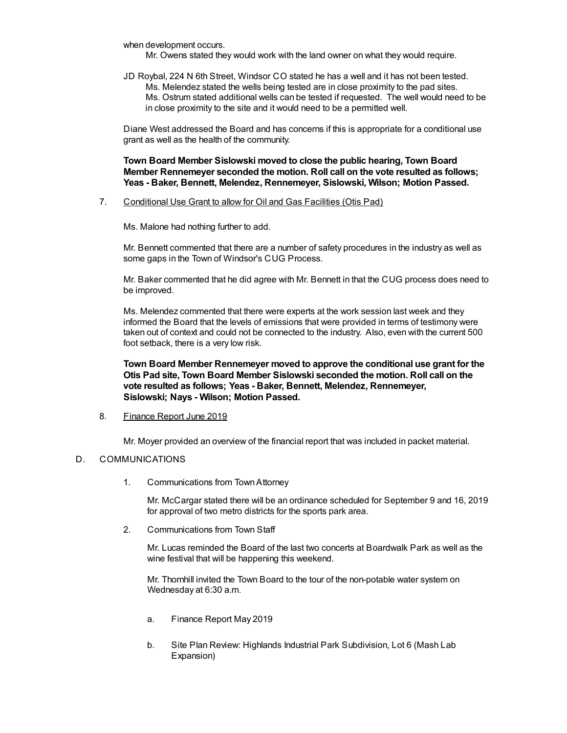when development occurs.

Mr. Owens stated they would work with the land owner on what they would require.

JD Roybal, 224 N 6th Street, Windsor CO stated he has a well and it has not been tested. Ms. Melendez stated the wells being tested are in close proximity to the pad sites. Ms. Ostrum stated additional wells can be tested if requested. The well would need to be in close proximity to the site and it would need to be a permitted well.

Diane West addressed the Board and has concerns if this is appropriate for a conditional use grant as well as the health of the community.

**Town Board Member Sislowski moved to close the public hearing, Town Board Member Rennemeyer seconded the motion. Roll call on the vote resulted as follows; Yeas - Baker, Bennett, Melendez, Rennemeyer, Sislowski, Wilson; Motion Passed.**

7. Conditional Use Grant to allow for Oil and Gas Facilities (Otis Pad)

Ms. Malone had nothing further to add.

Mr. Bennett commented that there are a number of safety procedures in the industry as well as some gaps in the Town of Windsor's CUG Process.

Mr. Baker commented that he did agree with Mr. Bennett in that the CUG process does need to be improved.

Ms. Melendez commented that there were experts at the work session last week and they informed the Board that the levels of emissions that were provided in terms of testimony were taken out of context and could not be connected to the industry. Also, even with the current 500 foot setback, there is a very low risk.

**Town Board Member Rennemeyer moved to approve the conditional use grant for the Otis Pad site, Town Board Member Sislowski seconded the motion. Roll call on the vote resulted as follows; Yeas - Baker, Bennett, Melendez, Rennemeyer, Sislowski; Nays - Wilson; Motion Passed.**

#### 8. Finance Report June 2019

Mr. Moyer provided an overview of the financial report that was included in packet material.

### D. COMMUNICATIONS

1. Communications from TownAttorney

Mr. McCargar stated there will be an ordinance scheduled for September 9 and 16, 2019 for approval of two metro districts for the sports park area.

2. Communications from Town Staff

Mr. Lucas reminded the Board of the last two concerts at Boardwalk Park as well as the wine festival that will be happening this weekend.

Mr. Thornhill invited the Town Board to the tour of the non-potable water system on Wednesday at 6:30 a.m.

- a. Finance Report May 2019
- b. Site Plan Review: Highlands Industrial Park Subdivision, Lot 6 (Mash Lab Expansion)